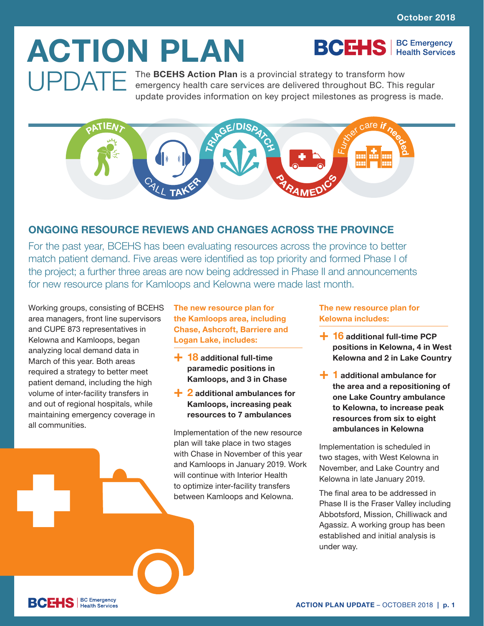**BCEHS** | BC Emergency

# **ACTION PLAN**

**UPDATE** The **BCEHS Action Plan** is a provincial strategy to transform how<br>
emergency health care services are delivered throughout BC. This regular<br>
undete provides information on low project milestance as programs is mod update provides information on key project milestones as progress is made.



## **ONGOING RESOURCE REVIEWS AND CHANGES ACROSS THE PROVINCE**

For the past year, BCEHS has been evaluating resources across the province to better match patient demand. Five areas were identified as top priority and formed Phase I of the project; a further three areas are now being addressed in Phase II and announcements for new resource plans for Kamloops and Kelowna were made last month.

Working groups, consisting of BCEHS area managers, front line supervisors and CUPE 873 representatives in Kelowna and Kamloops, began analyzing local demand data in March of this year. Both areas required a strategy to better meet patient demand, including the high volume of inter-facility transfers in and out of regional hospitals, while maintaining emergency coverage in all communities.

**The new resource plan for the Kamloops area, including Chase, Ashcroft, Barriere and Logan Lake, includes:**

- **+ 18 additional full-time paramedic positions in Kamloops, and 3 in Chase**
- **+ 2 additional ambulances for Kamloops, increasing peak resources to 7 ambulances**

Implementation of the new resource plan will take place in two stages with Chase in November of this year and Kamloops in January 2019. Work will continue with Interior Health to optimize inter-facility transfers between Kamloops and Kelowna.

**The new resource plan for Kelowna includes:**

- **+ 16 additional full-time PCP positions in Kelowna, 4 in West Kelowna and 2 in Lake Country**
- **+ 1 additional ambulance for the area and a repositioning of one Lake Country ambulance to Kelowna, to increase peak resources from six to eight ambulances in Kelowna**

Implementation is scheduled in two stages, with West Kelowna in November, and Lake Country and Kelowna in late January 2019.

The final area to be addressed in Phase II is the Fraser Valley including Abbotsford, Mission, Chilliwack and Agassiz. A working group has been established and initial analysis is under way.

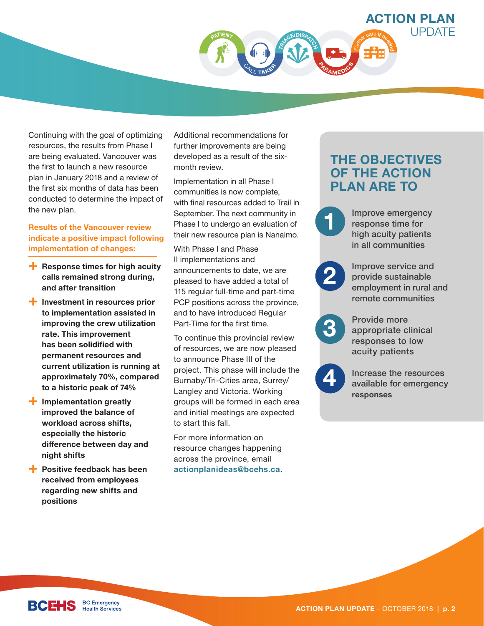

Continuing with the goal of optimizing resources, the results from Phase I are being evaluated. Vancouver was the first to launch a new resource plan in January 2018 and a review of the first six months of data has been conducted to determine the impact of the new plan.

#### **Results of the Vancouver review indicate a positive impact following implementation of changes:**

- **+ Response times for high acuity calls remained strong during, and after transition**
- **+ Investment in resources prior to implementation assisted in improving the crew utilization rate. This improvement has been solidified with permanent resources and current utilization is running at approximately 70%, compared to a historic peak of 74%**
- **+ Implementation greatly improved the balance of workload across shifts, especially the historic difference between day and night shifts**
- **+ Positive feedback has been received from employees regarding new shifts and positions**

Additional recommendations for further improvements are being developed as a result of the sixmonth review.

Implementation in all Phase I communities is now complete, with final resources added to Trail in September. The next community in Phase I to undergo an evaluation of their new resource plan is Nanaimo.

With Phase I and Phase II implementations and announcements to date, we are pleased to have added a total of 115 regular full-time and part-time PCP positions across the province, and to have introduced Regular Part-Time for the first time.

To continue this provincial review of resources, we are now pleased to announce Phase III of the project. This phase will include the Burnaby/Tri-Cities area, Surrey/ Langley and Victoria. Working groups will be formed in each area and initial meetings are expected to start this fall.

For more information on resource changes happening across the province, email **actionplanideas@bcehs.ca**.

## **THE OBJECTIVES OF THE ACTION PLAN ARE TO**

Improve emergency response time for high acuity patients in all communities

**2**

**1**

Improve service and provide sustainable employment in rural and remote communities



Provide more appropriate clinical responses to low acuity patients



Increase the resources available for emergency **responses**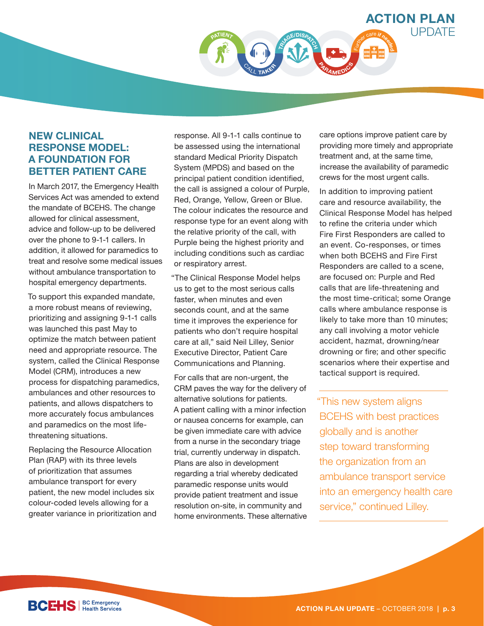

#### **NEW CLINICAL RESPONSE MODEL: A FOUNDATION FOR BETTER PATIENT CARE**

In March 2017, the Emergency Health Services Act was amended to extend the mandate of BCEHS. The change allowed for clinical assessment, advice and follow-up to be delivered over the phone to 9-1-1 callers. In addition, it allowed for paramedics to treat and resolve some medical issues without ambulance transportation to hospital emergency departments.

To support this expanded mandate, a more robust means of reviewing, prioritizing and assigning 9-1-1 calls was launched this past May to optimize the match between patient need and appropriate resource. The system, called the Clinical Response Model (CRM), introduces a new process for dispatching paramedics, ambulances and other resources to patients, and allows dispatchers to more accurately focus ambulances and paramedics on the most lifethreatening situations.

Replacing the Resource Allocation Plan (RAP) with its three levels of prioritization that assumes ambulance transport for every patient, the new model includes six colour-coded levels allowing for a greater variance in prioritization and

response. All 9-1-1 calls continue to be assessed using the international standard Medical Priority Dispatch System (MPDS) and based on the principal patient condition identified, the call is assigned a colour of Purple, Red, Orange, Yellow, Green or Blue. The colour indicates the resource and response type for an event along with the relative priority of the call, with Purple being the highest priority and including conditions such as cardiac or respiratory arrest.

"The Clinical Response Model helps us to get to the most serious calls faster, when minutes and even seconds count, and at the same time it improves the experience for patients who don't require hospital care at all," said Neil Lilley, Senior Executive Director, Patient Care Communications and Planning.

For calls that are non-urgent, the CRM paves the way for the delivery of alternative solutions for patients. A patient calling with a minor infection or nausea concerns for example, can be given immediate care with advice from a nurse in the secondary triage trial, currently underway in dispatch. Plans are also in development regarding a trial whereby dedicated paramedic response units would provide patient treatment and issue resolution on-site, in community and home environments. These alternative care options improve patient care by providing more timely and appropriate treatment and, at the same time, increase the availability of paramedic crews for the most urgent calls.

In addition to improving patient care and resource availability, the Clinical Response Model has helped to refine the criteria under which Fire First Responders are called to an event. Co-responses, or times when both BCEHS and Fire First Responders are called to a scene, are focused on: Purple and Red calls that are life-threatening and the most time-critical; some Orange calls where ambulance response is likely to take more than 10 minutes; any call involving a motor vehicle accident, hazmat, drowning/near drowning or fire; and other specific scenarios where their expertise and tactical support is required.

"This new system aligns BCEHS with best practices globally and is another step toward transforming the organization from an ambulance transport service into an emergency health care service," continued Lilley.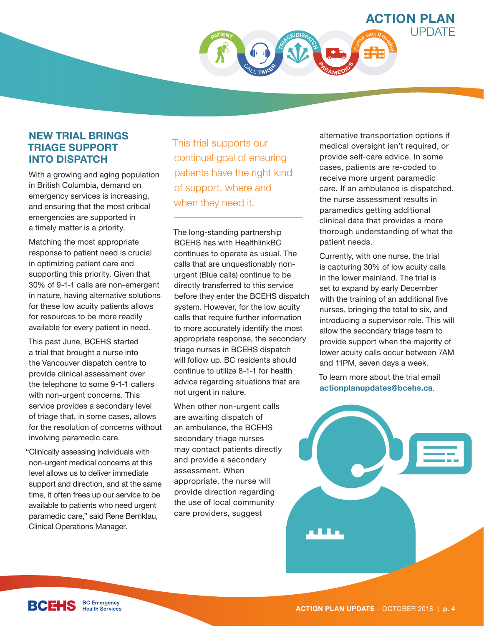**ACTION PLAN**   $UP\Gamma$ **TR<sup>I</sup>AGE/DISPATC<sup>H</sup>** <sup>F</sup>urthe<sup>r</sup> <sup>c</sup>ar<sup>e</sup> **<sup>i</sup><sup>f</sup> <sup>n</sup>eede<sup>d</sup>** <sup>C</sup>AL<sup>L</sup> **<sup>T</sup>AKE<sup>R</sup> <sup>P</sup>ARAMED<sup>I</sup>C<sup>S</sup>**

#### **NEW TRIAL BRINGS TRIAGE SUPPORT INTO DISPATCH**

With a growing and aging population in British Columbia, demand on emergency services is increasing, and ensuring that the most critical emergencies are supported in a timely matter is a priority.

Matching the most appropriate response to patient need is crucial in optimizing patient care and supporting this priority. Given that 30% of 9-1-1 calls are non-emergent in nature, having alternative solutions for these low acuity patients allows for resources to be more readily available for every patient in need.

This past June, BCEHS started a trial that brought a nurse into the Vancouver dispatch centre to provide clinical assessment over the telephone to some 9-1-1 callers with non-urgent concerns. This service provides a secondary level of triage that, in some cases, allows for the resolution of concerns without involving paramedic care.

"Clinically assessing individuals with non-urgent medical concerns at this level allows us to deliver immediate support and direction, and at the same time, it often frees up our service to be available to patients who need urgent paramedic care," said Rene Bernklau, Clinical Operations Manager.

This trial supports our continual goal of ensuring patients have the right kind of support, where and when they need it.

The long-standing partnership BCEHS has with HealthlinkBC continues to operate as usual. The calls that are unquestionably nonurgent (Blue calls) continue to be directly transferred to this service before they enter the BCEHS dispatch system. However, for the low acuity calls that require further information to more accurately identify the most appropriate response, the secondary triage nurses in BCEHS dispatch will follow up. BC residents should continue to utilize 8-1-1 for health advice regarding situations that are not urgent in nature.

When other non-urgent calls are awaiting dispatch of an ambulance, the BCEHS secondary triage nurses may contact patients directly and provide a secondary assessment. When appropriate, the nurse will provide direction regarding the use of local community care providers, suggest

alternative transportation options if medical oversight isn't required, or provide self-care advice. In some cases, patients are re-coded to receive more urgent paramedic care. If an ambulance is dispatched, the nurse assessment results in paramedics getting additional clinical data that provides a more thorough understanding of what the patient needs.

Currently, with one nurse, the trial is capturing 30% of low acuity calls in the lower mainland. The trial is set to expand by early December with the training of an additional five nurses, bringing the total to six, and introducing a supervisor role. This will allow the secondary triage team to provide support when the majority of lower acuity calls occur between 7AM and 11PM, seven days a week.

To learn more about the trial email **actionplanupdates@bcehs.ca**.

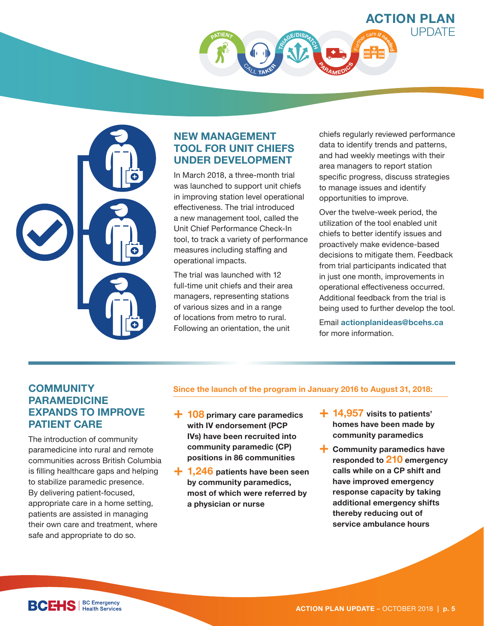



### **NEW MANAGEMENT TOOL FOR UNIT CHIEFS UNDER DEVELOPMENT**

In March 2018, a three-month trial was launched to support unit chiefs in improving station level operational effectiveness. The trial introduced a new management tool, called the Unit Chief Performance Check-In tool, to track a variety of performance measures including staffing and operational impacts.

The trial was launched with 12 full-time unit chiefs and their area managers, representing stations of various sizes and in a range of locations from metro to rural. Following an orientation, the unit

chiefs regularly reviewed performance data to identify trends and patterns, and had weekly meetings with their area managers to report station specific progress, discuss strategies to manage issues and identify opportunities to improve.

Over the twelve-week period, the utilization of the tool enabled unit chiefs to better identify issues and proactively make evidence-based decisions to mitigate them. Feedback from trial participants indicated that in just one month, improvements in operational effectiveness occurred. Additional feedback from the trial is being used to further develop the tool.

Email **actionplanideas@bcehs.ca** for more information.

### **COMMUNITY PARAMEDICINE EXPANDS TO IMPROVE PATIENT CARE**

The introduction of community paramedicine into rural and remote communities across British Columbia is filling healthcare gaps and helping to stabilize paramedic presence. By delivering patient-focused, appropriate care in a home setting, patients are assisted in managing their own care and treatment, where safe and appropriate to do so.

#### **Since the launch of the program in January 2016 to August 31, 2018:**

- **+ 108 primary care paramedics with IV endorsement (PCP IVs) have been recruited into community paramedic (CP) positions in 86 communities**
- **+ 1,246 patients have been seen by community paramedics, most of which were referred by a physician or nurse**
- **+ 14,957 visits to patients' homes have been made by community paramedics**
- **+ Community paramedics have responded to 210 emergency calls while on a CP shift and have improved emergency response capacity by taking additional emergency shifts thereby reducing out of service ambulance hours**

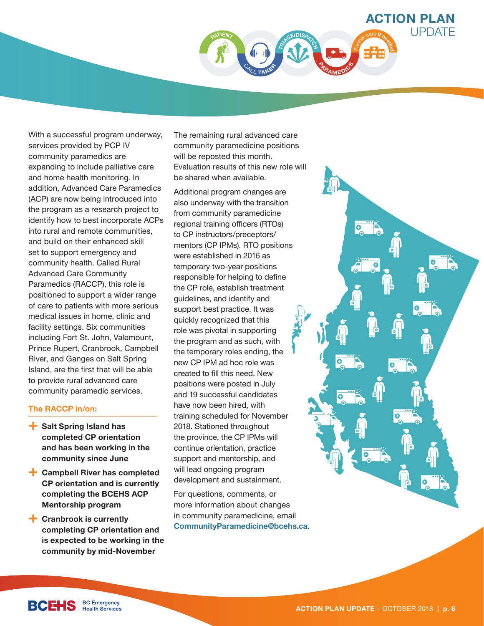

With a successful program 
underway, services provided by 
PCP IV community paramedics are expanding to include palliative care and home health monitoring. In addition, Advanced Care Paramedics (ACP) are now being introduced into the program as a research project to identify how to best incorporate ACPs into rural and remote communities, and build on their enhanced skill set to support emergency and community health. Called Rural Advanced Care Community Paramedics (RACCP), this role is positioned to support
 a wider range of care to patients
 with more serious medical issues in home, clinic and facility settings. Six communities including Fort St. John, Valemount, Prince Rupert, Cranbrook, Campbell River, and Ganges on Salt Spring Island, are the first that will be able to provide rural advanced care community paramedic services.

#### **The RACCP in/on:**

- **+ Salt Spring Island has completed CP orientation and has been working in the community since June**
- **+ Campbell River has completed CP orientation and is currently completing the BCEHS ACP Mentorship program**
- **+ Cranbrook is currently completing CP orientation and is expected to be working in the community by mid-November**

The remaining rural advanced care community paramedicine positions will be reposted this month. Evaluation results of this new role will be shared when available.

Additional program changes are also underway with the transition from community paramedicine regional training officers (RTOs) to CP instructors/preceptors/ mentors (CP IPMs). RTO positions were established in 2016 as temporary two-year positions responsible for helping to define the CP role, establish treatment guidelines, and identify and support best practice. It was quickly recognized that this role was pivotal in supporting the program and as such, with the temporary roles ending, the new CP IPM ad hoc role was created to fill this need. New positions were posted in July and 19 successful candidates have now been hired, with training scheduled for November 2018. Stationed throughout the province, the CP IPMs will continue orientation, practice support and mentorship, and will lead ongoing program development and sustainment.

For questions, comments, or more information about changes in community paramedicine, email **CommunityParamedicine@bcehs.ca**.



**BCEHS** | BC Emergency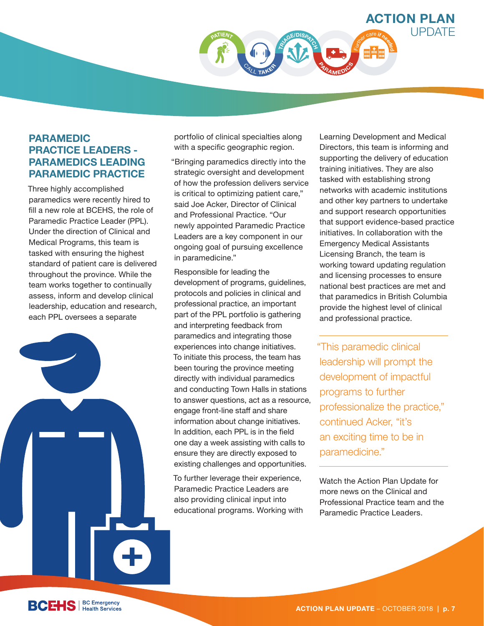

#### **PARAMEDIC PRACTICE LEADERS - PARAMEDICS LEADING PARAMEDIC PRACTICE**

Three highly accomplished paramedics were recently hired to fill a new role at BCEHS, the role of Paramedic Practice Leader (PPL). Under the direction of Clinical and Medical Programs, this team is tasked with ensuring the highest standard of patient care is delivered throughout the province. While the team works together to continually assess, inform and develop clinical leadership, education and research, each PPL oversees a separate



portfolio of clinical specialties along with a specific geographic region.

"Bringing paramedics directly into the strategic oversight and development of how the profession delivers service is critical to optimizing patient care," said Joe Acker, Director of Clinical and Professional Practice. "Our newly appointed Paramedic Practice Leaders are a key component in our ongoing goal of pursuing excellence in paramedicine."

Responsible for leading the development of programs, guidelines, protocols and policies in clinical and professional practice, an important part of the PPL portfolio is gathering and interpreting feedback from paramedics and integrating those experiences into change initiatives. To initiate this process, the team has been touring the province meeting directly with individual paramedics and conducting Town Halls in stations to answer questions, act as a resource, engage front-line staff and share information about change initiatives. In addition, each PPL is in the field one day a week assisting with calls to ensure they are directly exposed to existing challenges and opportunities.

To further leverage their experience, Paramedic Practice Leaders are also providing clinical input into educational programs. Working with Learning Development and Medical Directors, this team is informing and supporting the delivery of education training initiatives. They are also tasked with establishing strong networks with academic institutions and other key partners to undertake and support research opportunities that support evidence-based practice initiatives. In collaboration with the Emergency Medical Assistants Licensing Branch, the team is working toward updating regulation and licensing processes to ensure national best practices are met and that paramedics in British Columbia provide the highest level of clinical and professional practice.

"This paramedic clinical leadership will prompt the development of impactful programs to further professionalize the practice," continued Acker, "it's an exciting time to be in paramedicine."

Watch the Action Plan Update for more news on the Clinical and Professional Practice team and the Paramedic Practice Leaders.